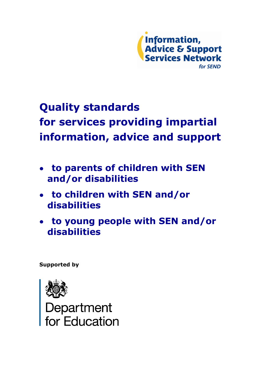

# **Quality standards for services providing impartial information, advice and support**

- **to parents of children with SEN and/or disabilities**
- **to children with SEN and/or disabilities**
- **to young people with SEN and/or disabilities**

**Supported by**



Department<br>for Education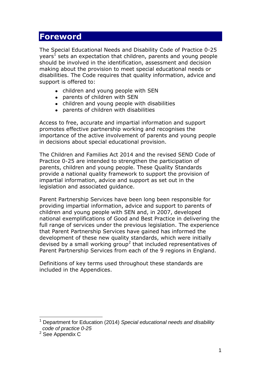### **Foreword**

The Special Educational Needs and Disability Code of Practice 0-25 years<sup>1</sup> sets an expectation that children, parents and young people should be involved in the identification, assessment and decision making about the provision to meet special educational needs or disabilities. The Code requires that quality information, advice and support is offered to:

- children and young people with SEN
- parents of children with SEN
- children and young people with disabilities
- parents of children with disabilities

Access to free, accurate and impartial information and support promotes effective partnership working and recognises the importance of the active involvement of parents and young people in decisions about special educational provision.

The Children and Families Act 2014 and the revised SEND Code of Practice 0-25 are intended to strengthen the participation of parents, children and young people. These Quality Standards provide a national quality framework to support the provision of impartial information, advice and support as set out in the legislation and associated guidance.

Parent Partnership Services have been long been responsible for providing impartial information, advice and support to parents of children and young people with SEN and, in 2007, developed national exemplifications of Good and Best Practice in delivering the full range of services under the previous legislation. The experience that Parent Partnership Services have gained has informed the development of these new quality standards, which were initially devised by a small working group<sup>2</sup> that included representatives of Parent Partnership Services from each of the 9 regions in England.

Definitions of key terms used throughout these standards are included in the Appendices.

<sup>1</sup> <sup>1</sup> Department for Education (2014) *Special educational needs and disability code of practice 0-25*

<sup>2</sup> See Appendix C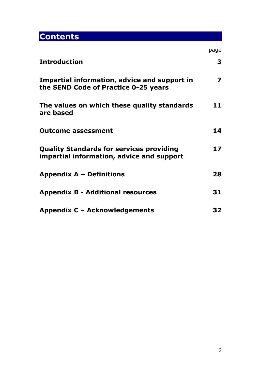# **Contents**

|                                                                                              | page                    |
|----------------------------------------------------------------------------------------------|-------------------------|
| <b>Introduction</b>                                                                          | 3                       |
| Impartial information, advice and support in<br>the SEND Code of Practice 0-25 years         | $\overline{\mathbf{z}}$ |
| The values on which these quality standards<br>are based                                     | 11                      |
| <b>Outcome assessment</b>                                                                    | 14                      |
| <b>Quality Standards for services providing</b><br>impartial information, advice and support | 17                      |
| <b>Appendix A - Definitions</b>                                                              | 28                      |
| <b>Appendix B - Additional resources</b>                                                     | 31                      |
| Appendix C - Acknowledgements                                                                | 32                      |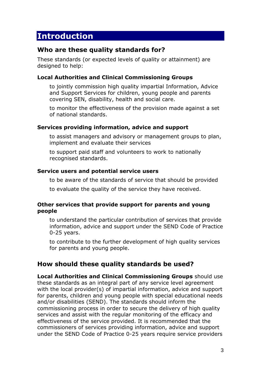# **Introduction**

### **Who are these quality standards for?**

These standards (or expected levels of quality or attainment) are designed to help:

#### **Local Authorities and Clinical Commissioning Groups**

to jointly commission high quality impartial Information, Advice and Support Services for children, young people and parents covering SEN, disability, health and social care.

to monitor the effectiveness of the provision made against a set of national standards.

#### **Services providing information, advice and support**

to assist managers and advisory or management groups to plan, implement and evaluate their services

to support paid staff and volunteers to work to nationally recognised standards.

#### **Service users and potential service users**

to be aware of the standards of service that should be provided

to evaluate the quality of the service they have received.

#### **Other services that provide support for parents and young people**

to understand the particular contribution of services that provide information, advice and support under the SEND Code of Practice 0-25 years.

to contribute to the further development of high quality services for parents and young people.

### **How should these quality standards be used?**

**Local Authorities and Clinical Commissioning Groups** should use these standards as an integral part of any service level agreement with the local provider(s) of impartial information, advice and support for parents, children and young people with special educational needs and/or disabilities (SEND). The standards should inform the commissioning process in order to secure the delivery of high quality services and assist with the regular monitoring of the efficacy and effectiveness of the service provided. It is recommended that the commissioners of services providing information, advice and support under the SEND Code of Practice 0-25 years require service providers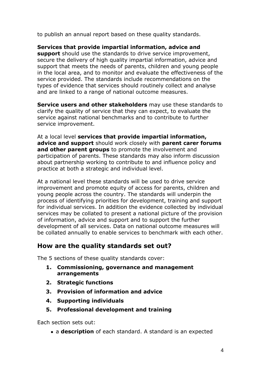to publish an annual report based on these quality standards.

**Services that provide impartial information, advice and support** should use the standards to drive service improvement, secure the delivery of high quality impartial information, advice and support that meets the needs of parents, children and young people in the local area, and to monitor and evaluate the effectiveness of the service provided. The standards include recommendations on the types of evidence that services should routinely collect and analyse and are linked to a range of national outcome measures.

**Service users and other stakeholders** may use these standards to clarify the quality of service that they can expect, to evaluate the service against national benchmarks and to contribute to further service improvement.

At a local level **services that provide impartial information, advice and support** should work closely with **parent carer forums and other parent groups** to promote the involvement and participation of parents. These standards may also inform discussion about partnership working to contribute to and influence policy and practice at both a strategic and individual level.

At a national level these standards will be used to drive service improvement and promote equity of access for parents, children and young people across the country. The standards will underpin the process of identifying priorities for development, training and support for individual services. In addition the evidence collected by individual services may be collated to present a national picture of the provision of information, advice and support and to support the further development of all services. Data on national outcome measures will be collated annually to enable services to benchmark with each other.

### **How are the quality standards set out?**

The 5 sections of these quality standards cover:

- **1. Commissioning, governance and management arrangements**
- **2. Strategic functions**
- **3. Provision of information and advice**
- **4. Supporting individuals**
- **5. Professional development and training**

Each section sets out:

a **description** of each standard. A standard is an expected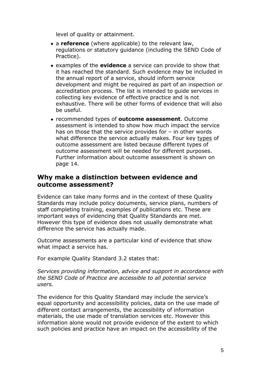level of quality or attainment.

- a **reference** (where applicable) to the relevant law, regulations or statutory guidance (including the SEND Code of Practice).
- examples of the **evidence** a service can provide to show that it has reached the standard. Such evidence may be included in the annual report of a service, should inform service development and might be required as part of an inspection or accreditation process. The list is intended to guide services in collecting key evidence of effective practice and is not exhaustive. There will be other forms of evidence that will also be useful.
- recommended types of **outcome assessment**. Outcome assessment is intended to show how much impact the service has on those that the service provides for – in other words what difference the service actually makes. Four key types of outcome assessment are listed because different types of outcome assessment will be needed for different purposes. Further information about outcome assessment is shown on page 14.

### **Why make a distinction between evidence and outcome assessment?**

Evidence can take many forms and in the context of these Quality Standards may include policy documents, service plans, numbers of staff completing training, examples of publications etc. These are important ways of evidencing that Quality Standards are met. However this type of evidence does not usually demonstrate what difference the service has actually made.

Outcome assessments are a particular kind of evidence that show what impact a service has.

For example Quality Standard 3.2 states that:

*Services providing information, advice and support in accordance with the SEND Code of Practice are accessible to all potential service users.* 

The evidence for this Quality Standard may include the service's equal opportunity and accessibility policies, data on the use made of different contact arrangements, the accessibility of information materials, the use made of translation services etc. However this information alone would not provide evidence of the extent to which such policies and practice have an impact on the accessibility of the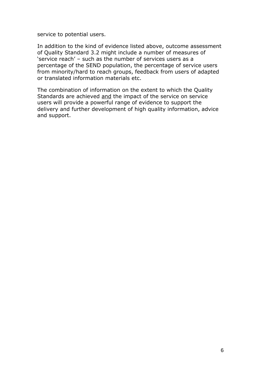service to potential users.

In addition to the kind of evidence listed above, outcome assessment of Quality Standard 3.2 might include a number of measures of 'service reach' – such as the number of services users as a percentage of the SEND population, the percentage of service users from minority/hard to reach groups, feedback from users of adapted or translated information materials etc.

The combination of information on the extent to which the Quality Standards are achieved and the impact of the service on service users will provide a powerful range of evidence to support the delivery and further development of high quality information, advice and support.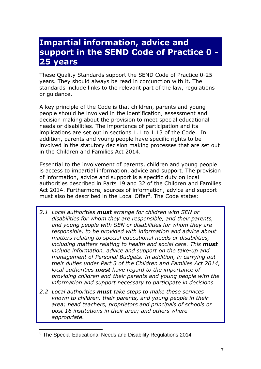## **Impartial information, advice and support in the SEND Code of Practice 0 - 25 years**

These Quality Standards support the SEND Code of Practice 0-25 years. They should always be read in conjunction with it. The standards include links to the relevant part of the law, regulations or guidance.

A key principle of the Code is that children, parents and young people should be involved in the identification, assessment and decision making about the provision to meet special educational needs or disabilities. The importance of participation and its implications are set out in sections 1.1 to 1.13 of the Code. In addition, parents and young people have specific rights to be involved in the statutory decision making processes that are set out in the Children and Families Act 2014.

Essential to the involvement of parents, children and young people is access to impartial information, advice and support. The provision of information, advice and support is a specific duty on local authorities described in Parts 19 and 32 of the Children and Families Act 2014. Furthermore, sources of information, advice and support must also be described in the Local Offer $3$ . The Code states:

- *2.1 Local authorities must arrange for children with SEN or disabilities for whom they are responsible, and their parents, and young people with SEN or disabilities for whom they are responsible, to be provided with information and advice about matters relating to special educational needs or disabilities, including matters relating to health and social care. This must include information, advice and support on the take-up and management of Personal Budgets. In addition, in carrying out their duties under Part 3 of the Children and Families Act 2014, local authorities must have regard to the importance of providing children and their parents and young people with the information and support necessary to participate in decisions.*
- *2.2 Local authorities must take steps to make these services known to children, their parents, and young people in their area; head teachers, proprietors and principals of schools or post 16 institutions in their area; and others where appropriate.*

<sup>&</sup>lt;u>.</u>  $3$  The Special Educational Needs and Disability Regulations 2014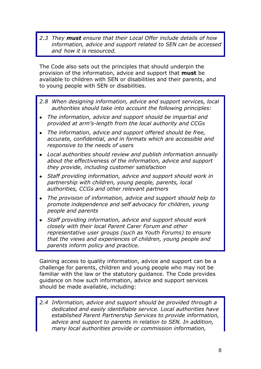*2.3 They must ensure that their Local Offer include details of how information, advice and support related to SEN can be accessed and how it is resourced.*

The Code also sets out the principles that should underpin the provision of the information, advice and support that **must** be available to children with SEN or disabilities and their parents, and to young people with SEN or disabilities.

- *2.8 When designing information, advice and support services, local authorities should take into account the following principles:*
- *The information, advice and support should be impartial and provided at arm's-length from the local authority and CCGs*
- *The information, advice and support offered should be free, accurate, confidential, and in formats which are accessible and responsive to the needs of users*
- *Local authorities should review and publish information annually about the effectiveness of the information, advice and support they provide, including customer satisfaction*
- *Staff providing information, advice and support should work in partnership with children, young people, parents, local authorities, CCGs and other relevant partners*
- *The provision of information, advice and support should help to promote independence and self advocacy for children, young people and parents*
- *Staff providing information, advice and support should work closely with their local Parent Carer Forum and other representative user groups (such as Youth Forums) to ensure that the views and experiences of children, young people and parents inform policy and practice.*

Gaining access to quality information, advice and support can be a challenge for parents, children and young people who may not be familiar with the law or the statutory guidance. The Code provides guidance on how such information, advice and support services should be made available, including:

*2.4 Information, advice and support should be provided through a dedicated and easily identifiable service. Local authorities have established Parent Partnership Services to provide information, advice and support to parents in relation to SEN. In addition, many local authorities provide or commission information,*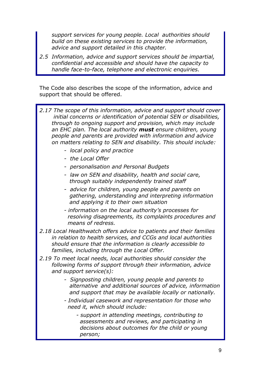*support services for young people. Local authorities should build on these existing services to provide the information, advice and support detailed in this chapter.*

*2.5 Information, advice and support services should be impartial, confidential and accessible and should have the capacity to handle face-to-face, telephone and electronic enquiries.*

The Code also describes the scope of the information, advice and support that should be offered.



 *person;*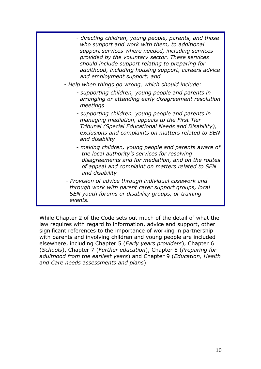| - directing children, young people, parents, and those<br>who support and work with them, to additional<br>support services where needed, including services<br>provided by the voluntary sector. These services<br>should include support relating to preparing for<br>adulthood, including housing support, careers advice<br>and employment support; and |
|-------------------------------------------------------------------------------------------------------------------------------------------------------------------------------------------------------------------------------------------------------------------------------------------------------------------------------------------------------------|
| - Help when things go wrong, which should include:                                                                                                                                                                                                                                                                                                          |
| - supporting children, young people and parents in<br>arranging or attending early disagreement resolution<br>meetings                                                                                                                                                                                                                                      |
| - supporting children, young people and parents in<br>managing mediation, appeals to the First Tier<br>Tribunal (Special Educational Needs and Disability),<br>exclusions and complaints on matters related to SEN<br>and disability                                                                                                                        |
| - making children, young people and parents aware of<br>the local authority's services for resolving<br>disagreements and for mediation, and on the routes<br>of appeal and complaint on matters related to SEN<br>and disability                                                                                                                           |
| - Provision of advice through individual casework and<br>through work with parent carer support groups, local<br>SEN youth forums or disability groups, or training<br>events.                                                                                                                                                                              |

While Chapter 2 of the Code sets out much of the detail of what the law requires with regard to information, advice and support, other significant references to the importance of working in partnership with parents and involving children and young people are included elsewhere, including Chapter 5 (*Early years providers*), Chapter 6 (*Schools*), Chapter 7 (*Further education*), Chapter 8 (*Preparing for adulthood from the earliest years*) and Chapter 9 (*Education, Health and Care needs assessments and plans*).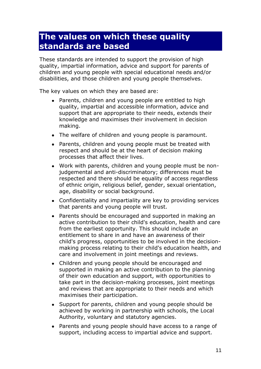# **The values on which these quality standards are based**

These standards are intended to support the provision of high quality, impartial information, advice and support for parents of children and young people with special educational needs and/or disabilities, and those children and young people themselves.

The key values on which they are based are:

- Parents, children and young people are entitled to high quality, impartial and accessible information, advice and support that are appropriate to their needs, extends their knowledge and maximises their involvement in decision making.
- The welfare of children and young people is paramount.
- Parents, children and young people must be treated with respect and should be at the heart of decision making processes that affect their lives.
- Work with parents, children and young people must be nonjudgemental and anti-discriminatory; differences must be respected and there should be equality of access regardless of ethnic origin, religious belief, gender, sexual orientation, age, disability or social background.
- Confidentiality and impartiality are key to providing services that parents and young people will trust.
- Parents should be encouraged and supported in making an active contribution to their child's education, health and care from the earliest opportunity. This should include an entitlement to share in and have an awareness of their child's progress, opportunities to be involved in the decisionmaking process relating to their child's education health, and care and involvement in joint meetings and reviews.
- Children and young people should be encouraged and supported in making an active contribution to the planning of their own education and support, with opportunities to take part in the decision-making processes, joint meetings and reviews that are appropriate to their needs and which maximises their participation.
- Support for parents, children and young people should be achieved by working in partnership with schools, the Local Authority, voluntary and statutory agencies.
- Parents and young people should have access to a range of support, including access to impartial advice and support.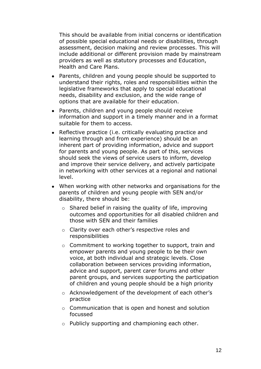This should be available from initial concerns or identification of possible special educational needs or disabilities, through assessment, decision making and review processes. This will include additional or different provision made by mainstream providers as well as statutory processes and Education, Health and Care Plans.

- Parents, children and young people should be supported to understand their rights, roles and responsibilities within the legislative frameworks that apply to special educational needs, disability and exclusion, and the wide range of options that are available for their education.
- Parents, children and young people should receive information and support in a timely manner and in a format suitable for them to access.
- Reflective practice (i.e. critically evaluating practice and learning through and from experience) should be an inherent part of providing information, advice and support for parents and young people. As part of this, services should seek the views of service users to inform, develop and improve their service delivery, and actively participate in networking with other services at a regional and national level.
- When working with other networks and organisations for the parents of children and young people with SEN and/or disability, there should be:
	- $\circ$  Shared belief in raising the quality of life, improving outcomes and opportunities for all disabled children and those with SEN and their families
	- o Clarity over each other's respective roles and responsibilities
	- o Commitment to working together to support, train and empower parents and young people to be their own voice, at both individual and strategic levels. Close collaboration between services providing information, advice and support, parent carer forums and other parent groups, and services supporting the participation of children and young people should be a high priority
	- o Acknowledgement of the development of each other's practice
	- o Communication that is open and honest and solution focussed
	- o Publicly supporting and championing each other.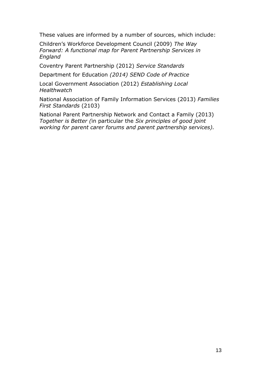These values are informed by a number of sources, which include:

Children's Workforce Development Council (2009) *The Way Forward: A functional map for Parent Partnership Services in England* 

Coventry Parent Partnership (2012) *Service Standards*

Department for Education *(2014) SEND Code of Practice*

Local Government Association (2012) *Establishing Local Healthwatch*

National Association of Family Information Services (2013) *Families First Standards* (2103)

National Parent Partnership Network and Contact a Family (2013) *Together is Better (*in particular the *Six principles of good joint working for parent carer forums and parent partnership services).*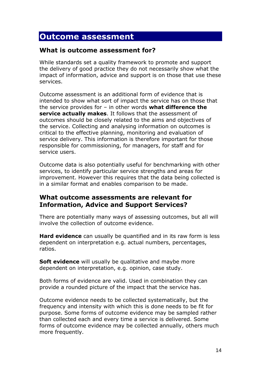### **Outcome assessment**

### **What is outcome assessment for?**

While standards set a quality framework to promote and support the delivery of good practice they do not necessarily show what the impact of information, advice and support is on those that use these services.

Outcome assessment is an additional form of evidence that is intended to show what sort of impact the service has on those that the service provides for – in other words **what difference the service actually makes**. It follows that the assessment of outcomes should be closely related to the aims and objectives of the service. Collecting and analysing information on outcomes is critical to the effective planning, monitoring and evaluation of service delivery. This information is therefore important for those responsible for commissioning, for managers, for staff and for service users.

Outcome data is also potentially useful for benchmarking with other services, to identify particular service strengths and areas for improvement. However this requires that the data being collected is in a similar format and enables comparison to be made.

### **What outcome assessments are relevant for Information, Advice and Support Services?**

There are potentially many ways of assessing outcomes, but all will involve the collection of outcome evidence.

**Hard evidence** can usually be quantified and in its raw form is less dependent on interpretation e.g. actual numbers, percentages, ratios.

**Soft evidence** will usually be qualitative and maybe more dependent on interpretation, e.g. opinion, case study.

Both forms of evidence are valid. Used in combination they can provide a rounded picture of the impact that the service has.

Outcome evidence needs to be collected systematically, but the frequency and intensity with which this is done needs to be fit for purpose. Some forms of outcome evidence may be sampled rather than collected each and every time a service is delivered. Some forms of outcome evidence may be collected annually, others much more frequently.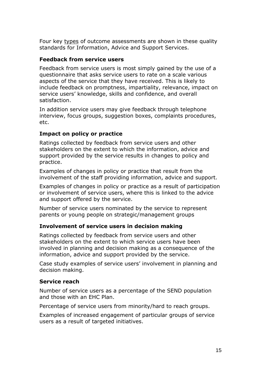Four key types of outcome assessments are shown in these quality standards for Information, Advice and Support Services.

#### **Feedback from service users**

Feedback from service users is most simply gained by the use of a questionnaire that asks service users to rate on a scale various aspects of the service that they have received. This is likely to include feedback on promptness, impartiality, relevance, impact on service users' knowledge, skills and confidence, and overall satisfaction.

In addition service users may give feedback through telephone interview, focus groups, suggestion boxes, complaints procedures, etc.

#### **Impact on policy or practice**

Ratings collected by feedback from service users and other stakeholders on the extent to which the information, advice and support provided by the service results in changes to policy and practice.

Examples of changes in policy or practice that result from the involvement of the staff providing information, advice and support.

Examples of changes in policy or practice as a result of participation or involvement of service users, where this is linked to the advice and support offered by the service.

Number of service users nominated by the service to represent parents or young people on strategic/management groups

#### **Involvement of service users in decision making**

Ratings collected by feedback from service users and other stakeholders on the extent to which service users have been involved in planning and decision making as a consequence of the information, advice and support provided by the service.

Case study examples of service users' involvement in planning and decision making.

#### **Service reach**

Number of service users as a percentage of the SEND population and those with an EHC Plan.

Percentage of service users from minority/hard to reach groups.

Examples of increased engagement of particular groups of service users as a result of targeted initiatives.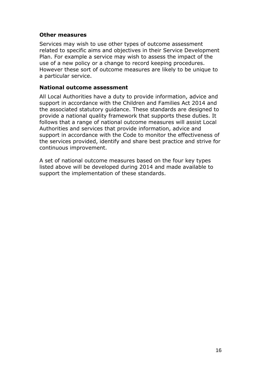#### **Other measures**

Services may wish to use other types of outcome assessment related to specific aims and objectives in their Service Development Plan. For example a service may wish to assess the impact of the use of a new policy or a change to record keeping procedures. However these sort of outcome measures are likely to be unique to a particular service.

#### **National outcome assessment**

All Local Authorities have a duty to provide information, advice and support in accordance with the Children and Families Act 2014 and the associated statutory guidance. These standards are designed to provide a national quality framework that supports these duties. It follows that a range of national outcome measures will assist Local Authorities and services that provide information, advice and support in accordance with the Code to monitor the effectiveness of the services provided, identify and share best practice and strive for continuous improvement.

A set of national outcome measures based on the four key types listed above will be developed during 2014 and made available to support the implementation of these standards.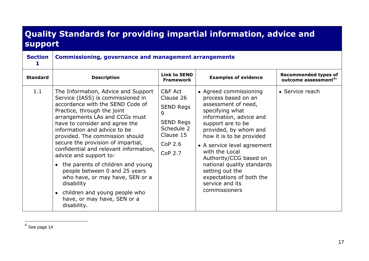# **Quality Standards for providing impartial information, advice and support**

| <b>Section</b>  | <b>Commissioning, governance and management arrangements</b>                                                                                                                                                                                                                                                                                                                                                                                                                                                                                                                                         |                                                                                                                                      |                                                                                                                                                                                                                                                                                                                                                                                          |                                                                 |  |  |
|-----------------|------------------------------------------------------------------------------------------------------------------------------------------------------------------------------------------------------------------------------------------------------------------------------------------------------------------------------------------------------------------------------------------------------------------------------------------------------------------------------------------------------------------------------------------------------------------------------------------------------|--------------------------------------------------------------------------------------------------------------------------------------|------------------------------------------------------------------------------------------------------------------------------------------------------------------------------------------------------------------------------------------------------------------------------------------------------------------------------------------------------------------------------------------|-----------------------------------------------------------------|--|--|
| <b>Standard</b> | <b>Description</b>                                                                                                                                                                                                                                                                                                                                                                                                                                                                                                                                                                                   | <b>Link to SEND</b><br><b>Framework</b>                                                                                              | <b>Examples of evidence</b>                                                                                                                                                                                                                                                                                                                                                              | <b>Recommended types of</b><br>outcome assessment <sup>4*</sup> |  |  |
| 1.1             | The Information, Advice and Support<br>Service (IASS) is commissioned in<br>accordance with the SEND Code of<br>Practice, through the joint<br>arrangements LAs and CCGs must<br>have to consider and agree the<br>information and advice to be<br>provided. The commission should<br>secure the provision of impartial,<br>confidential and relevant information,<br>advice and support to:<br>• the parents of children and young<br>people between 0 and 25 years<br>who have, or may have, SEN or a<br>disability<br>children and young people who<br>have, or may have, SEN or a<br>disability. | C&F Act<br>Clause 26<br><b>SEND Regs</b><br>9<br><b>SEND Regs</b><br>Schedule 2<br>Clause 15<br>CoP <sub>2.6</sub><br><b>CoP 2.7</b> | • Agreed commissioning<br>process based on an<br>assessment of need,<br>specifying what<br>information, advice and<br>support are to be<br>provided, by whom and<br>how it is to be provided<br>• A service level agreement<br>with the Local<br>Authority/CCG based on<br>national quality standards<br>setting out the<br>expectations of both the<br>service and its<br>commissioners | • Service reach                                                 |  |  |

 4 See page 14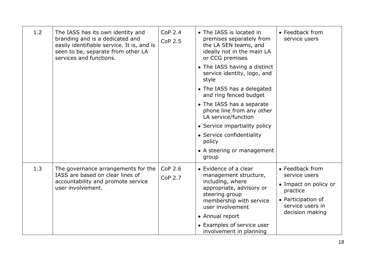| 1.2 | The IASS has its own identity and<br>branding and is a dedicated and<br>easily identifiable service. It is, and is<br>seen to be, separate from other LA<br>services and functions. | <b>CoP 2.4</b><br><b>CoP 2.5</b> | • The IASS is located in<br>premises separately from<br>the LA SEN teams, and<br>ideally not in the main LA<br>or CCG premises<br>• The IASS having a distinct<br>service identity, logo, and<br>style<br>• The IASS has a delegated<br>and ring fenced budget<br>• The IASS has a separate<br>phone line from any other<br>LA service/function<br>• Service impartiality policy<br>• Service confidentiality<br>policy<br>• A steering or management<br>group | • Feedback from<br>service users                                                                                                   |
|-----|-------------------------------------------------------------------------------------------------------------------------------------------------------------------------------------|----------------------------------|----------------------------------------------------------------------------------------------------------------------------------------------------------------------------------------------------------------------------------------------------------------------------------------------------------------------------------------------------------------------------------------------------------------------------------------------------------------|------------------------------------------------------------------------------------------------------------------------------------|
| 1.3 | The governance arrangements for the<br>IASS are based on clear lines of<br>accountability and promote service<br>user involvement.                                                  | CoP 2.6<br><b>CoP 2.7</b>        | • Evidence of a clear<br>management structure,<br>including, where<br>appropriate, advisory or<br>steering group<br>membership with service<br>user involvement<br>• Annual report<br>• Examples of service user<br>involvement in planning                                                                                                                                                                                                                    | • Feedback from<br>service users<br>• Impact on policy or<br>practice<br>• Participation of<br>service users in<br>decision making |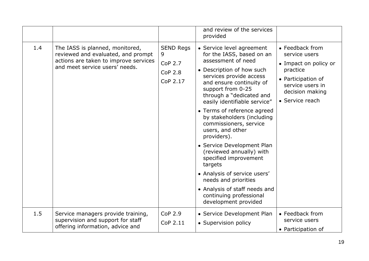|     |                                                                                                                                                  |                                                                       | and review of the services<br>provided                                                                                                                                                                                                                                                                                                                                                                                                                                                                                                                                                                                |                                                                                                                                                       |
|-----|--------------------------------------------------------------------------------------------------------------------------------------------------|-----------------------------------------------------------------------|-----------------------------------------------------------------------------------------------------------------------------------------------------------------------------------------------------------------------------------------------------------------------------------------------------------------------------------------------------------------------------------------------------------------------------------------------------------------------------------------------------------------------------------------------------------------------------------------------------------------------|-------------------------------------------------------------------------------------------------------------------------------------------------------|
| 1.4 | The IASS is planned, monitored,<br>reviewed and evaluated, and prompt<br>actions are taken to improve services<br>and meet service users' needs. | <b>SEND Regs</b><br>9<br><b>CoP 2.7</b><br><b>CoP 2.8</b><br>CoP 2.17 | • Service level agreement<br>for the IASS, based on an<br>assessment of need<br>• Description of how such<br>services provide access<br>and ensure continuity of<br>support from 0-25<br>through a "dedicated and<br>easily identifiable service"<br>• Terms of reference agreed<br>by stakeholders (including<br>commissioners, service<br>users, and other<br>providers).<br>• Service Development Plan<br>(reviewed annually) with<br>specified improvement<br>targets<br>• Analysis of service users'<br>needs and priorities<br>• Analysis of staff needs and<br>continuing professional<br>development provided | • Feedback from<br>service users<br>• Impact on policy or<br>practice<br>• Participation of<br>service users in<br>decision making<br>• Service reach |
| 1.5 | Service managers provide training,<br>supervision and support for staff<br>offering information, advice and                                      | <b>CoP 2.9</b><br>CoP 2.11                                            | • Service Development Plan<br>• Supervision policy                                                                                                                                                                                                                                                                                                                                                                                                                                                                                                                                                                    | • Feedback from<br>service users<br>• Participation of                                                                                                |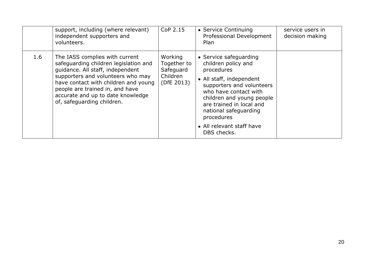|     | support, including (where relevant)<br>independent supporters and<br>volunteers.                                                                                                                                                                                                               | CoP 2.15                                                      | • Service Continuing<br>Professional Development<br>Plan                                                                                                                                                                                                                                  | service users in<br>decision making |
|-----|------------------------------------------------------------------------------------------------------------------------------------------------------------------------------------------------------------------------------------------------------------------------------------------------|---------------------------------------------------------------|-------------------------------------------------------------------------------------------------------------------------------------------------------------------------------------------------------------------------------------------------------------------------------------------|-------------------------------------|
| 1.6 | The IASS complies with current<br>safeguarding children legislation and<br>guidance. All staff, independent<br>supporters and volunteers who may<br>have contact with children and young<br>people are trained in, and have<br>accurate and up to date knowledge<br>of, safeguarding children. | Working<br>Together to<br>Safeguard<br>Children<br>(DfE 2013) | • Service safeguarding<br>children policy and<br>procedures<br>• All staff, independent<br>supporters and volunteers<br>who have contact with<br>children and young people<br>are trained in local and<br>national safeguarding<br>procedures<br>• All relevant staff have<br>DBS checks. |                                     |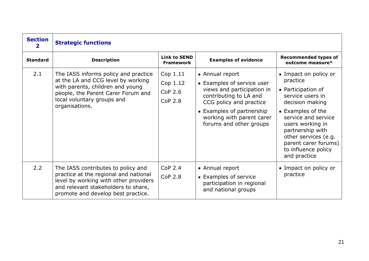| <b>Section</b>  | <b>Strategic functions</b>                                                                                                                                                                           |                                                   |                                                                                                                                                                                                                       |                                                                                                                                                                                                                                                                           |
|-----------------|------------------------------------------------------------------------------------------------------------------------------------------------------------------------------------------------------|---------------------------------------------------|-----------------------------------------------------------------------------------------------------------------------------------------------------------------------------------------------------------------------|---------------------------------------------------------------------------------------------------------------------------------------------------------------------------------------------------------------------------------------------------------------------------|
| <b>Standard</b> | <b>Description</b>                                                                                                                                                                                   | <b>Link to SEND</b><br><b>Framework</b>           | <b>Examples of evidence</b>                                                                                                                                                                                           | <b>Recommended types of</b><br>outcome measure*                                                                                                                                                                                                                           |
| 2.1             | The IASS informs policy and practice<br>at the LA and CCG level by working<br>with parents, children and young<br>people, the Parent Carer Forum and<br>local voluntary groups and<br>organisations. | Cop 1.11<br>Cop 1.12<br>CoP 2.6<br><b>CoP 2.8</b> | • Annual report<br>• Examples of service user<br>views and participation in<br>contributing to LA and<br>CCG policy and practice<br>• Examples of partnership<br>working with parent carer<br>forums and other groups | • Impact on policy or<br>practice<br>• Participation of<br>service users in<br>decision making<br>• Examples of the<br>service and service<br>users working in<br>partnership with<br>other services (e.g.<br>parent carer forums)<br>to influence policy<br>and practice |
| 2.2             | The IASS contributes to policy and<br>practice at the regional and national<br>level by working with other providers<br>and relevant stakeholders to share,<br>promote and develop best practice.    | <b>CoP 2.4</b><br><b>CoP 2.8</b>                  | • Annual report<br>• Examples of service<br>participation in regional<br>and national groups                                                                                                                          | • Impact on policy or<br>practice                                                                                                                                                                                                                                         |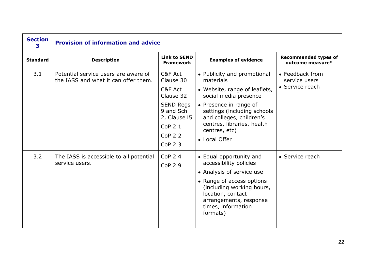| <b>Section</b><br>3 | <b>Provision of information and advice</b>                                   |                                                                                                                                        |                                                                                                                                                                                                                                                         |                                                     |
|---------------------|------------------------------------------------------------------------------|----------------------------------------------------------------------------------------------------------------------------------------|---------------------------------------------------------------------------------------------------------------------------------------------------------------------------------------------------------------------------------------------------------|-----------------------------------------------------|
| <b>Standard</b>     | <b>Description</b>                                                           | <b>Link to SEND</b><br>Framework                                                                                                       | <b>Examples of evidence</b>                                                                                                                                                                                                                             | <b>Recommended types of</b><br>outcome measure*     |
| 3.1                 | Potential service users are aware of<br>the IASS and what it can offer them. | C&F Act<br>Clause 30<br>C&F Act<br>Clause 32<br><b>SEND Regs</b><br>9 and Sch<br>2, Clause15<br>$COP$ 2.1<br><b>CoP 2.2</b><br>CoP 2.3 | • Publicity and promotional<br>materials<br>• Website, range of leaflets,<br>social media presence<br>• Presence in range of<br>settings (including schools<br>and colleges, children's<br>centres, libraries, health<br>centres, etc)<br>• Local Offer | • Feedback from<br>service users<br>• Service reach |
| 3.2                 | The IASS is accessible to all potential<br>service users.                    | <b>CoP 2.4</b><br><b>CoP 2.9</b>                                                                                                       | • Equal opportunity and<br>accessibility policies<br>• Analysis of service use<br>• Range of access options<br>(including working hours,<br>location, contact<br>arrangements, response<br>times, information<br>formats)                               | • Service reach                                     |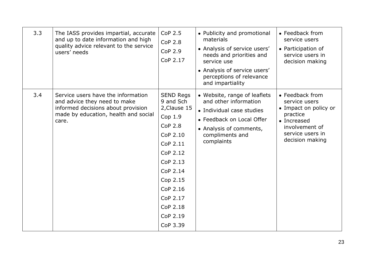| 3.3 | The IASS provides impartial, accurate<br>and up to date information and high<br>quality advice relevant to the service<br>users' needs                    | CoP 2.5<br><b>CoP 2.8</b><br><b>CoP 2.9</b><br>CoP 2.17                                                                                                                                                        | • Publicity and promotional<br>materials<br>• Analysis of service users'<br>needs and priorities and<br>service use<br>• Analysis of service users'<br>perceptions of relevance<br>and impartiality | • Feedback from<br>service users<br>• Participation of<br>service users in<br>decision making                                                 |
|-----|-----------------------------------------------------------------------------------------------------------------------------------------------------------|----------------------------------------------------------------------------------------------------------------------------------------------------------------------------------------------------------------|-----------------------------------------------------------------------------------------------------------------------------------------------------------------------------------------------------|-----------------------------------------------------------------------------------------------------------------------------------------------|
| 3.4 | Service users have the information<br>and advice they need to make<br>informed decisions about provision<br>made by education, health and social<br>care. | <b>SEND Regs</b><br>9 and Sch<br>2, Clause 15<br>Cop 1.9<br><b>CoP 2.8</b><br>CoP 2.10<br>CoP 2.11<br>CoP 2.12<br>CoP 2.13<br>CoP 2.14<br>Cop 2.15<br>CoP 2.16<br>CoP 2.17<br>CoP 2.18<br>CoP 2.19<br>CoP 3.39 | • Website, range of leaflets<br>and other information<br>• Individual case studies<br>• Feedback on Local Offer<br>• Analysis of comments,<br>compliments and<br>complaints                         | • Feedback from<br>service users<br>• Impact on policy or<br>practice<br>• Increased<br>involvement of<br>service users in<br>decision making |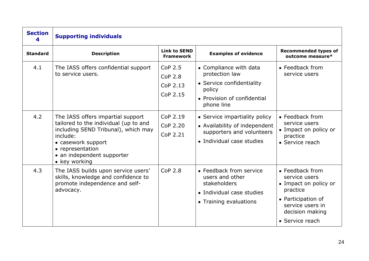| <b>Section</b>  | <b>Supporting individuals</b>                                                                                                                                                                                          |                                                   |                                                                                                                              |                                                                                                                                                       |
|-----------------|------------------------------------------------------------------------------------------------------------------------------------------------------------------------------------------------------------------------|---------------------------------------------------|------------------------------------------------------------------------------------------------------------------------------|-------------------------------------------------------------------------------------------------------------------------------------------------------|
| <b>Standard</b> | <b>Description</b>                                                                                                                                                                                                     | <b>Link to SEND</b><br><b>Framework</b>           | <b>Examples of evidence</b>                                                                                                  | <b>Recommended types of</b><br>outcome measure*                                                                                                       |
| 4.1             | The IASS offers confidential support<br>to service users.                                                                                                                                                              | CoP 2.5<br><b>CoP 2.8</b><br>CoP 2.13<br>CoP 2.15 | • Compliance with data<br>protection law<br>• Service confidentiality<br>policy<br>• Provision of confidential<br>phone line | • Feedback from<br>service users                                                                                                                      |
| 4.2             | The IASS offers impartial support<br>tailored to the individual (up to and<br>including SEND Tribunal), which may<br>include:<br>• casework support<br>• representation<br>• an independent supporter<br>• key working | CoP 2.19<br>CoP 2.20<br>CoP 2.21                  | • Service impartiality policy<br>• Availability of independent<br>supporters and volunteers<br>• Individual case studies     | • Feedback from<br>service users<br>• Impact on policy or<br>practice<br>• Service reach                                                              |
| 4.3             | The IASS builds upon service users'<br>skills, knowledge and confidence to<br>promote independence and self-<br>advocacy.                                                                                              | <b>CoP 2.8</b>                                    | • Feedback from service<br>users and other<br>stakeholders<br>• Individual case studies<br>• Training evaluations            | • Feedback from<br>service users<br>• Impact on policy or<br>practice<br>• Participation of<br>service users in<br>decision making<br>• Service reach |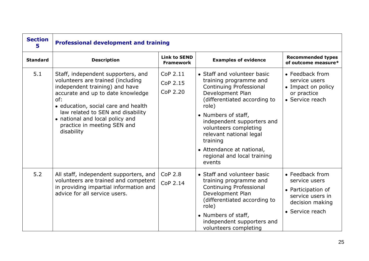| <b>Section</b><br>5 | <b>Professional development and training</b>                                                                                                                                                                                                                                                                      |                                         |                                                                                                                                                                                                                                                                                                                                          |                                                                                                                  |  |
|---------------------|-------------------------------------------------------------------------------------------------------------------------------------------------------------------------------------------------------------------------------------------------------------------------------------------------------------------|-----------------------------------------|------------------------------------------------------------------------------------------------------------------------------------------------------------------------------------------------------------------------------------------------------------------------------------------------------------------------------------------|------------------------------------------------------------------------------------------------------------------|--|
| <b>Standard</b>     | <b>Description</b>                                                                                                                                                                                                                                                                                                | <b>Link to SEND</b><br><b>Framework</b> | <b>Examples of evidence</b>                                                                                                                                                                                                                                                                                                              | <b>Recommended types</b><br>of outcome measure*                                                                  |  |
| 5.1                 | Staff, independent supporters, and<br>volunteers are trained (including<br>independent training) and have<br>accurate and up to date knowledge<br>of:<br>• education, social care and health<br>law related to SEN and disability<br>• national and local policy and<br>practice in meeting SEN and<br>disability | CoP 2.11<br>CoP 2.15<br>CoP 2.20        | • Staff and volunteer basic<br>training programme and<br>Continuing Professional<br>Development Plan<br>(differentiated according to<br>role)<br>• Numbers of staff,<br>independent supporters and<br>volunteers completing<br>relevant national legal<br>training<br>• Attendance at national,<br>regional and local training<br>events | • Feedback from<br>service users<br>• Impact on policy<br>or practice<br>• Service reach                         |  |
| 5.2                 | All staff, independent supporters, and<br>volunteers are trained and competent<br>in providing impartial information and<br>advice for all service users.                                                                                                                                                         | <b>CoP 2.8</b><br>CoP 2.14              | • Staff and volunteer basic<br>training programme and<br>Continuing Professional<br>Development Plan<br>(differentiated according to<br>role)<br>• Numbers of staff,<br>independent supporters and<br>volunteers completing                                                                                                              | • Feedback from<br>service users<br>• Participation of<br>service users in<br>decision making<br>• Service reach |  |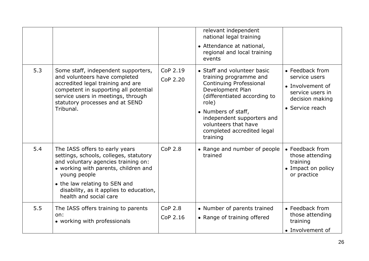|     |                                                                                                                                                                                                                                                                               |                            | relevant independent<br>national legal training<br>• Attendance at national,<br>regional and local training<br>events                                                                                                                                                       |                                                                                                                |
|-----|-------------------------------------------------------------------------------------------------------------------------------------------------------------------------------------------------------------------------------------------------------------------------------|----------------------------|-----------------------------------------------------------------------------------------------------------------------------------------------------------------------------------------------------------------------------------------------------------------------------|----------------------------------------------------------------------------------------------------------------|
| 5.3 | Some staff, independent supporters,<br>and volunteers have completed<br>accredited legal training and are<br>competent in supporting all potential<br>service users in meetings, through<br>statutory processes and at SEND<br>Tribunal.                                      | CoP 2.19<br>CoP 2.20       | • Staff and volunteer basic<br>training programme and<br><b>Continuing Professional</b><br>Development Plan<br>(differentiated according to<br>role)<br>• Numbers of staff,<br>independent supporters and<br>volunteers that have<br>completed accredited legal<br>training | • Feedback from<br>service users<br>• Involvement of<br>service users in<br>decision making<br>• Service reach |
| 5.4 | The IASS offers to early years<br>settings, schools, colleges, statutory<br>and voluntary agencies training on:<br>• working with parents, children and<br>young people<br>• the law relating to SEN and<br>disability, as it applies to education,<br>health and social care | CoP <sub>2.8</sub>         | • Range and number of people<br>trained                                                                                                                                                                                                                                     | • Feedback from<br>those attending<br>training<br>• Impact on policy<br>or practice                            |
| 5.5 | The IASS offers training to parents<br>on:<br>• working with professionals                                                                                                                                                                                                    | <b>CoP 2.8</b><br>CoP 2.16 | • Number of parents trained<br>• Range of training offered                                                                                                                                                                                                                  | • Feedback from<br>those attending<br>training<br>• Involvement of                                             |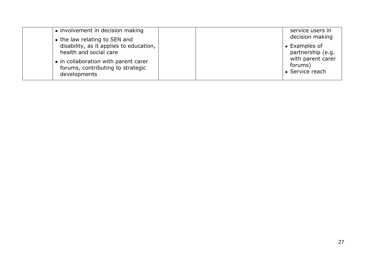| • involvement in decision making<br>• the law relating to SEN and                         | service users in<br>decision making             |
|-------------------------------------------------------------------------------------------|-------------------------------------------------|
| disability, as it applies to education,<br>health and social care                         | $\bullet$ Examples of<br>partnership (e.g.      |
| • in collaboration with parent carer<br>forums, contributing to strategic<br>developments | with parent carer<br>forums)<br>• Service reach |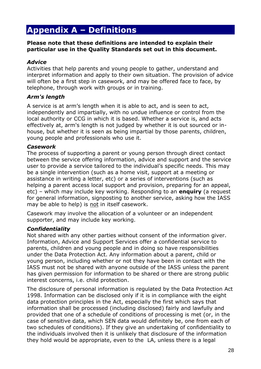# **Appendix A – Definitions**

#### **Please note that these definitions are intended to explain their particular use in the Quality Standards set out in this document.**

#### *Advice*

Activities that help parents and young people to gather, understand and interpret information and apply to their own situation. The provision of advice will often be a first step in casework, and may be offered face to face, by telephone, through work with groups or in training.

#### *Arm's length*

A service is at arm's length when it is able to act, and is seen to act, independently and impartially, with no undue influence or control from the local authority or CCG in which it is based. Whether a service is, and acts effectively at, arm's length is not judged by whether it is out sourced or inhouse, but whether it is seen as being impartial by those parents, children, young people and professionals who use it.

#### *Casework*

The process of supporting a parent or young person through direct contact between the service offering information, advice and support and the service user to provide a service tailored to the individual's specific needs. This may be a single intervention (such as a home visit, support at a meeting or assistance in writing a letter, etc) or a series of interventions (such as helping a parent access local support and provision, preparing for an appeal, etc) – which may include key working. Responding to an **enquiry** (a request for general information, signposting to another service, asking how the IASS may be able to help) is not in itself casework.

Casework may involve the allocation of a volunteer or an independent supporter, and may include key working.

#### *Confidentiality*

Not shared with any other parties without consent of the information giver. Information, Advice and Support Services offer a confidential service to parents, children and young people and in doing so have responsibilities under the Data Protection Act. Any information about a parent, child or young person, including whether or not they have been in contact with the IASS must not be shared with anyone outside of the IASS unless the parent has given permission for information to be shared or there are strong public interest concerns, i.e. child protection.

The disclosure of personal information is regulated by the Data Protection Act 1998. Information can be disclosed only if it is in compliance with the eight data protection principles in the Act, especially the first which says that information shall be processed (including disclosed) fairly and lawfully and provided that one of a schedule of conditions of processing is met (or, in the case of sensitive data, which SEN data would definitely be, one from each of two schedules of conditions). If they give an undertaking of confidentiality to the individuals involved then it is unlikely that disclosure of the information they hold would be appropriate, even to the LA, unless there is a legal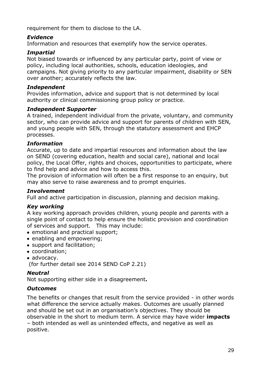requirement for them to disclose to the LA.

#### *Evidence*

Information and resources that exemplify how the service operates.

#### *Impartial*

Not biased towards or influenced by any particular party, point of view or policy, including local authorities, schools, education ideologies, and campaigns. Not giving priority to any particular impairment, disability or SEN over another; accurately reflects the law.

#### *Independent*

Provides information, advice and support that is not determined by local authority or clinical commissioning group policy or practice.

#### *Independent Supporter*

A trained, independent individual from the private, voluntary, and community sector, who can provide advice and support for parents of children with SEN, and young people with SEN, through the statutory assessment and EHCP processes.

#### *Information*

Accurate, up to date and impartial resources and information about the law on SEND (covering education, health and social care), national and local policy, the Local Offer, rights and choices, opportunities to participate, where to find help and advice and how to access this.

The provision of information will often be a first response to an enquiry, but may also serve to raise awareness and to prompt enquiries.

#### *Involvement*

Full and active participation in discussion, planning and decision making.

#### *Key working*

A key working approach provides children, young people and parents with a single point of contact to help ensure the holistic provision and coordination of services and support. This may include:

- emotional and practical support;
- enabling and empowering;
- support and facilitation;
- coordination;
- advocacy.

(for further detail see 2014 SEND CoP 2.21)

#### *Neutral*

Not supporting either side in a disagreement**.**

#### *Outcomes*

The benefits or changes that result from the service provided - in other words what difference the service actually makes. Outcomes are usually planned and should be set out in an organisation's objectives. They should be observable in the short to medium term. A service may have wider **impacts**  – both intended as well as unintended effects, and negative as well as positive.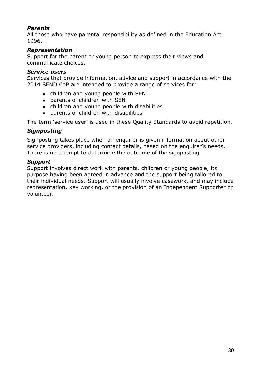#### *Parents*

All those who have parental responsibility as defined in the Education Act 1996.

#### *Representation*

Support for the parent or young person to express their views and communicate choices.

#### *Service users*

Services that provide information, advice and support in accordance with the 2014 SEND CoP are intended to provide a range of services for:

- children and young people with SEN
- parents of children with SEN
- children and young people with disabilities
- parents of children with disabilities

The term 'service user' is used in these Quality Standards to avoid repetition.

#### *Signposting*

Signposting takes place when an enquirer is given information about other service providers, including contact details, based on the enquirer's needs. There is no attempt to determine the outcome of the signposting.

#### *Support*

Support involves direct work with parents, children or young people, its purpose having been agreed in advance and the support being tailored to their individual needs. Support will usually involve casework, and may include representation, key working, or the provision of an Independent Supporter or volunteer.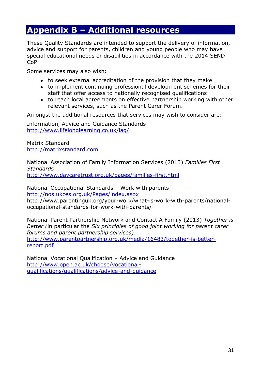## **Appendix B – Additional resources**

These Quality Standards are intended to support the delivery of information, advice and support for parents, children and young people who may have special educational needs or disabilities in accordance with the 2014 SEND CoP.

Some services may also wish:

- to seek external accreditation of the provision that they make
- to implement continuing professional development schemes for their staff that offer access to nationally recognised qualifications
- to reach local agreements on effective partnership working with other relevant services, such as the Parent Carer Forum.

Amongst the additional resources that services may wish to consider are:

Information, Advice and Guidance Standards <http://www.lifelonglearning.co.uk/iag/>

Matrix Standard [http://matrixstandard.com](http://matrixstandard.com/)

National Association of Family Information Services (2013) *Families First Standards* <http://www.daycaretrust.org.uk/pages/families-first.html>

National Occupational Standards – Work with parents <http://nos.ukces.org.uk/Pages/index.aspx>

http://www.parentinguk.org/your-work/what-is-work-with-parents/nationaloccupational-standards-for-work-with-parents/

National Parent Partnership Network and Contact A Family (2013) *Together is Better (*in particular the *Six principles of good joint working for parent carer forums and parent partnership services).* [http://www.parentpartnership.org.uk/media/16483/together-is-better](http://www.parentpartnership.org.uk/media/16483/together-is-better-report.pdf)[report.pdf](http://www.parentpartnership.org.uk/media/16483/together-is-better-report.pdf)

National Vocational Qualification – Advice and Guidance [http://www.open.ac.uk/choose/vocational](http://www.open.ac.uk/choose/vocational-qualifications/qualifications/advice-and-guidance)[qualifications/qualifications/advice-and-guidance](http://www.open.ac.uk/choose/vocational-qualifications/qualifications/advice-and-guidance)